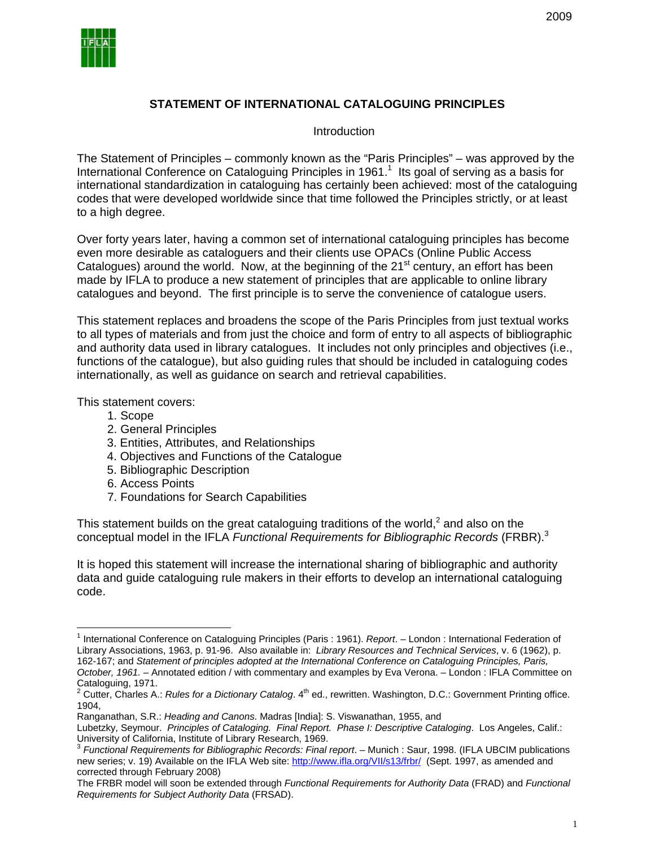

# **STATEMENT OF INTERNATIONAL CATALOGUING PRINCIPLES**

### **Introduction**

The Statement of Principles – commonly known as the "Paris Principles" – was approved by the International Conference on Cataloguing Principles in 1961.<sup>1</sup> Its goal of serving as a basis for international standardization in cataloguing has certainly been achieved: most of the cataloguing codes that were developed worldwide since that time followed the Principles strictly, or at least to a high degree.

Over forty years later, having a common set of international cataloguing principles has become even more desirable as cataloguers and their clients use OPACs (Online Public Access Catalogues) around the world. Now, at the beginning of the  $21<sup>st</sup>$  century, an effort has been made by IFLA to produce a new statement of principles that are applicable to online library catalogues and beyond. The first principle is to serve the convenience of catalogue users.

This statement replaces and broadens the scope of the Paris Principles from just textual works to all types of materials and from just the choice and form of entry to all aspects of bibliographic and authority data used in library catalogues. It includes not only principles and objectives (i.e., functions of the catalogue), but also guiding rules that should be included in cataloguing codes internationally, as well as guidance on search and retrieval capabilities.

This statement covers:

1. Scope

 $\overline{a}$ 

- 2. General Principles
- 3. Entities, Attributes, and Relationships
- 4. Objectives and Functions of the Catalogue
- 5. Bibliographic Description
- 6. Access Points
- 7. Foundations for Search Capabilities

This statement builds on the great cataloguing traditions of the world, $^2$  and also on the conceptual model in the IFLA *Functional Requirements for Bibliographic Records* (FRBR).<sup>3</sup>

It is hoped this statement will increase the international sharing of bibliographic and authority data and guide cataloguing rule makers in their efforts to develop an international cataloguing code.

<sup>&</sup>lt;sup>1</sup> International Conference on Cataloguing Principles (Paris : 1961). *Report*. – London : International Federation of Library Associations, 1963, p. 91-96. Also available in: *Library Resources and Technical Services*, v. 6 (1962), p. 162-167; and *Statement of principles adopted at the International Conference on Cataloguing Principles, Paris, October, 1961.* – Annotated edition / with commentary and examples by Eva Verona. – London : IFLA Committee on

Cataloguing, 1971.<br><sup>2</sup> Cutter, Charles A.: *Rules for a Dictionary Catalog.* 4<sup>th</sup> ed., rewritten. Washington, D.C.: Government Printing office. 1904,

Ranganathan, S.R.: *Heading and Canons*. Madras [India]: S. Viswanathan, 1955, and

Lubetzky, Seymour. *Principles of Cataloging. Final Report. Phase I: Descriptive Cataloging*. Los Angeles, Calif.:

<sup>&</sup>lt;sup>3</sup> Functional Requirements for Bibliographic Records: Final report. – Munich : Saur, 1998. (IFLA UBCIM publications new series; v. 19) Available on the IFLA Web site: http://www.ifla.org/VII/s13/frbr/ (Sept. 1997, as amended and corrected through February 2008)

The FRBR model will soon be extended through *Functional Requirements for Authority Data* (FRAD) and *Functional Requirements for Subject Authority Data* (FRSAD).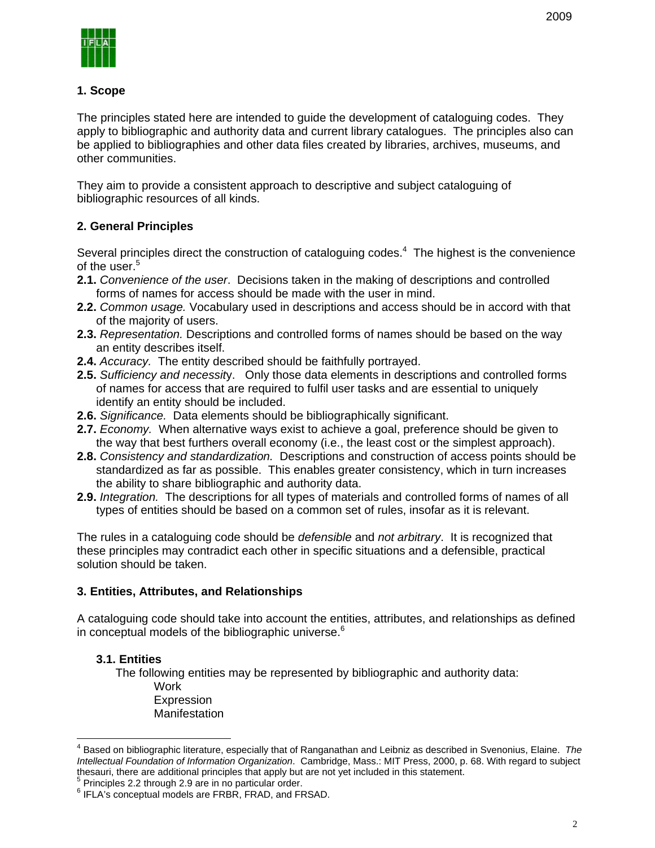# **1. Scope**

The principles stated here are intended to guide the development of cataloguing codes. They apply to bibliographic and authority data and current library catalogues. The principles also can be applied to bibliographies and other data files created by libraries, archives, museums, and other communities.

They aim to provide a consistent approach to descriptive and subject cataloguing of bibliographic resources of all kinds.

# **2. General Principles**

of the user.<sup>5</sup> Several principles direct the construction of cataloguing codes. $4$  The highest is the convenience

- **2.1.** *Convenience of the user*. Decisions taken in the making of descriptions and controlled forms of names for access should be made with the user in mind.
- **2.2.** *Common usage.* Vocabulary used in descriptions and access should be in accord with that of the majority of users.
- **2.3.** *Representation.* Descriptions and controlled forms of names should be based on the way an entity describes itself.
- **2.4.** *Accuracy.* The entity described should be faithfully portrayed.
- **2.5.** *Sufficiency and necessit*y. Only those data elements in descriptions and controlled forms of names for access that are required to fulfil user tasks and are essential to uniquely identify an entity should be included.
- **2.6.** *Significance.* Data elements should be bibliographically significant.
- **2.7.** *Economy.* When alternative ways exist to achieve a goal, preference should be given to the way that best furthers overall economy (i.e., the least cost or the simplest approach).
- **2.8.** *Consistency and standardization.* Descriptions and construction of access points should be standardized as far as possible. This enables greater consistency, which in turn increases the ability to share bibliographic and authority data.
- **2.9.** *Integration.* The descriptions for all types of materials and controlled forms of names of all types of entities should be based on a common set of rules, insofar as it is relevant.

The rules in a cataloguing code should be *defensible* and *not arbitrary*. It is recognized that these principles may contradict each other in specific situations and a defensible, practical solution should be taken.

# **3. Entities, Attributes, and Relationships**

A cataloguing code should take into account the entities, attributes, and relationships as defined in conceptual models of the bibliographic universe. $6$ 

# **3.1. Entities**

 $\overline{a}$ 

The following entities may be represented by bibliographic and authority data: Work Expression **Manifestation** 

<sup>4</sup> Based on bibliographic literature, especially that of Ranganathan and Leibniz as described in Svenonius, Elaine. *The Intellectual Foundation of Information Organization*. Cambridge, Mass.: MIT Press, 2000, p. 68. With regard to subject thesauri, there are additional principles that apply but are not yet included in this statement. 5

 $5$  Principles 2.2 through 2.9 are in no particular order.

<sup>&</sup>lt;sup>6</sup> IFLA's conceptual models are FRBR, FRAD, and FRSAD.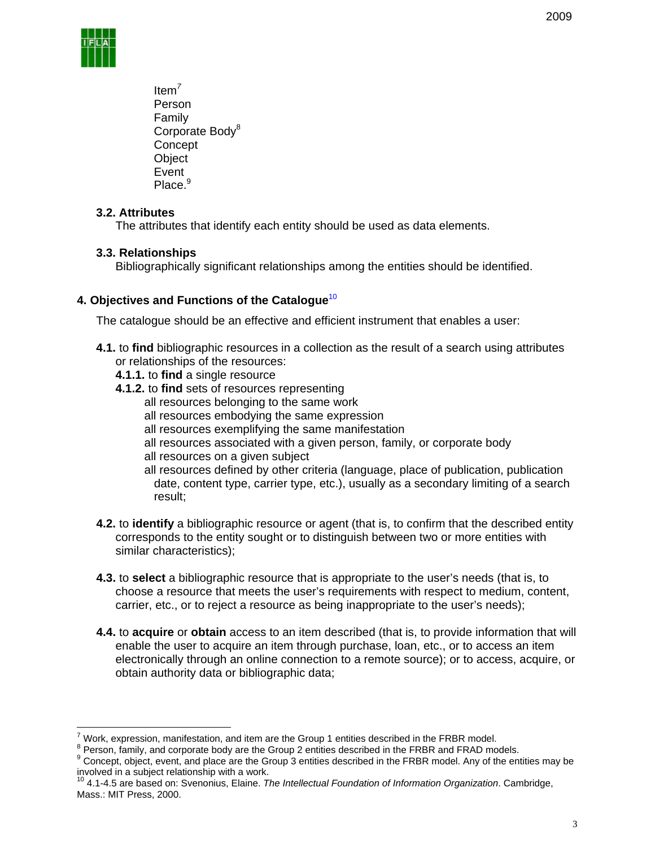

Item*<sup>7</sup>* Person Family Corporate Body<sup>8</sup> **Concept Object** Event Place.<sup>9</sup>

### **3.2. Attributes**

The attributes that identify each entity should be used as data elements.

### **3.3. Relationships**

Bibliographically significant relationships among the entities should be identified.

### **4. Objectives and Functions of the Catalogue**<sup>10</sup>

The catalogue should be an effective and efficient instrument that enables a user:

- **4.1.** to **find** bibliographic resources in a collection as the result of a search using attributes or relationships of the resources:
	- **4.1.1.** to **find** a single resource
	- 4.1.2. to find sets of resources representing
		- all resources belonging to the same work
		- all resources embodying the same expression
		- all resources exemplifying the same manifestation
		- all resources associated with a given person, family, or corporate body
		- all resources on a given subject
		- all resources defined by other criteria (language, place of publication, publication date, content type, carrier type, etc.), usually as a secondary limiting of a search result;
- **4.2.** to **identify** a bibliographic resource or agent (that is, to confirm that the described entity corresponds to the entity sought or to distinguish between two or more entities with similar characteristics);
- **4.3.** to **select** a bibliographic resource that is appropriate to the user's needs (that is, to choose a resource that meets the user's requirements with respect to medium, content, carrier, etc., or to reject a resource as being inappropriate to the user's needs);
- **4.4.** to **acquire** or **obtain** access to an item described (that is, to provide information that will enable the user to acquire an item through purchase, loan, etc., or to access an item electronically through an online connection to a remote source); or to access, acquire, or obtain authority data or bibliographic data;

 $\frac{1}{7}$ Work, expression, manifestation, and item are the Group 1 entities described in the FRBR model.<br><sup>8</sup> Person, family, and carperate hody are the Croup 2 entities described in the EBBB and EBAD me.

 $^8$  Person, family, and corporate body are the Group 2 entities described in the FRBR and FRAD models.<br>9 Canagat, ghiest, avent, and also ages the Croup 2 entities described in the FBBB model. Any of the ent

<sup>&</sup>lt;sup>9</sup> Concept, object, event, and place are the Group 3 entities described in the FRBR model. Any of the entities may be involved in a subject relationship with a work.

<sup>10 4.1-4.5</sup> are based on: Svenonius, Elaine. *The Intellectual Foundation of Information Organization*. Cambridge, Mass.: MIT Press, 2000.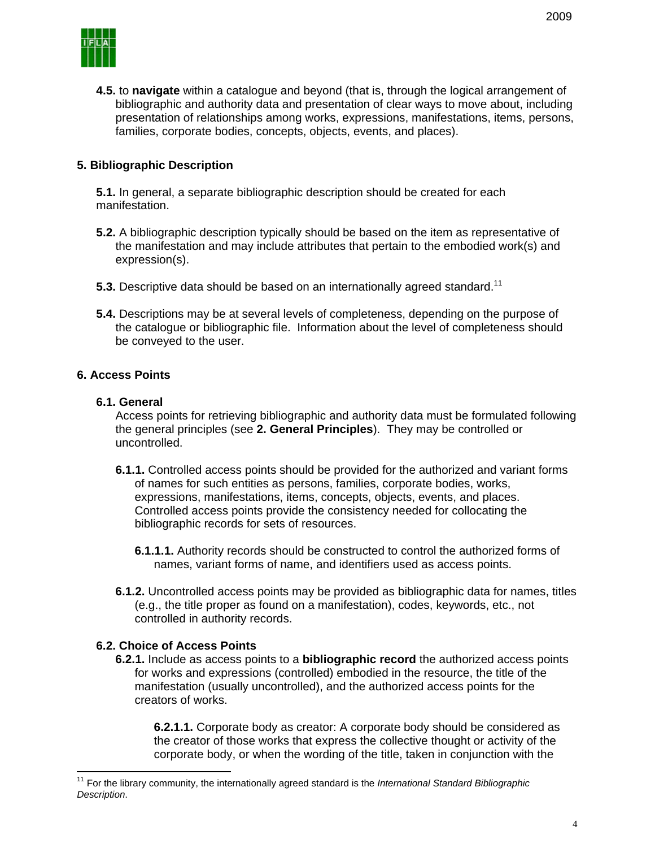

**4.5.** to **navigate** within a catalogue and beyond (that is, through the logical arrangement of bibliographic and authority data and presentation of clear ways to move about, including presentation of relationships among works, expressions, manifestations, items, persons, families, corporate bodies, concepts, objects, events, and places).

### **5. Bibliographic Description**

**5.1.** In general, a separate bibliographic description should be created for each manifestation.

- **5.2.** A bibliographic description typically should be based on the item as representative of the manifestation and may include attributes that pertain to the embodied work(s) and expression(s).
- **5.3.** Descriptive data should be based on an internationally agreed standard.<sup>11</sup>
- **5.4.** Descriptions may be at several levels of completeness, depending on the purpose of the catalogue or bibliographic file. Information about the level of completeness should be conveyed to the user.

#### **6. Access Points**

#### **6.1. General**

 uncontrolled. Access points for retrieving bibliographic and authority data must be formulated following the general principles (see **2. General Principles**). They may be controlled or

- expressions, manifestations, items, concepts, objects, events, and places, **6.1.1.** Controlled access points should be provided for the authorized and variant forms of names for such entities as persons, families, corporate bodies, works, Controlled access points provide the consistency needed for collocating the bibliographic records for sets of resources.
	- **6.1.1.1.** Authority records should be constructed to control the authorized forms of names, variant forms of name, and identifiers used as access points.
- **6.1.2.** Uncontrolled access points may be provided as bibliographic data for names, titles (e.g., the title proper as found on a manifestation), codes, keywords, etc., not controlled in authority records.

#### **6.2. Choice of Access Points**

 $\overline{a}$ 

**6.2.1.** Include as access points to a **bibliographic record** the authorized access points for works and expressions (controlled) embodied in the resource, the title of the manifestation (usually uncontrolled), and the authorized access points for the creators of works.

**6.2.1.1.** Corporate body as creator: A corporate body should be considered as the creator of those works that express the collective thought or activity of the corporate body, or when the wording of the title, taken in conjunction with the

<sup>11</sup> For the library community, the internationally agreed standard is the *International Standard Bibliographic Description*.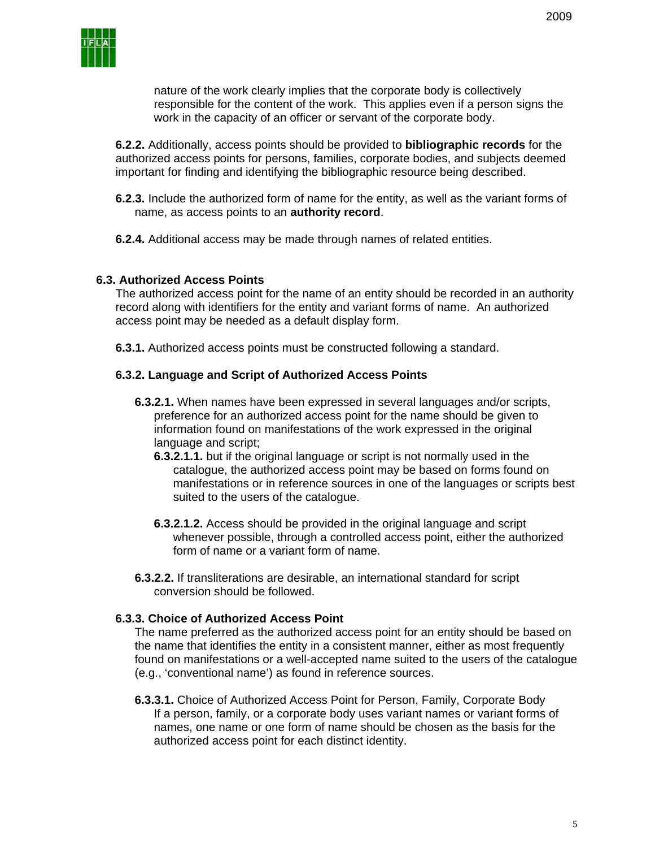nature of the work clearly implies that the corporate body is collectively responsible for the content of the work. This applies even if a person signs the work in the capacity of an officer or servant of the corporate body.

**6.2.2.** Additionally, access points should be provided to **bibliographic records** for the authorized access points for persons, families, corporate bodies, and subjects deemed important for finding and identifying the bibliographic resource being described.

- **6.2.3.** Include the authorized form of name for the entity, as well as the variant forms of name, as access points to an **authority record**.
- **6.2.4.** Additional access may be made through names of related entities.

### **6.3. Authorized Access Points**

The authorized access point for the name of an entity should be recorded in an authority record along with identifiers for the entity and variant forms of name. An authorized access point may be needed as a default display form.

**6.3.1.** Authorized access points must be constructed following a standard.

#### **6.3.2. Language and Script of Authorized Access Points**

- **6.3.2.1.** When names have been expressed in several languages and/or scripts, preference for an authorized access point for the name should be given to information found on manifestations of the work expressed in the original language and script;
	- **6.3.2.1.1.** but if the original language or script is not normally used in the catalogue, the authorized access point may be based on forms found on manifestations or in reference sources in one of the languages or scripts best suited to the users of the catalogue.
	- **6.3.2.1.2.** Access should be provided in the original language and script whenever possible, through a controlled access point, either the authorized form of name or a variant form of name.
- **6.3.2.2.** If transliterations are desirable, an international standard for script conversion should be followed.

### **6.3.3. Choice of Authorized Access Point**

The name preferred as the authorized access point for an entity should be based on the name that identifies the entity in a consistent manner, either as most frequently found on manifestations or a well-accepted name suited to the users of the catalogue (e.g., 'conventional name') as found in reference sources.

**6.3.3.1.** Choice of Authorized Access Point for Person, Family, Corporate Body If a person, family, or a corporate body uses variant names or variant forms of names, one name or one form of name should be chosen as the basis for the authorized access point for each distinct identity.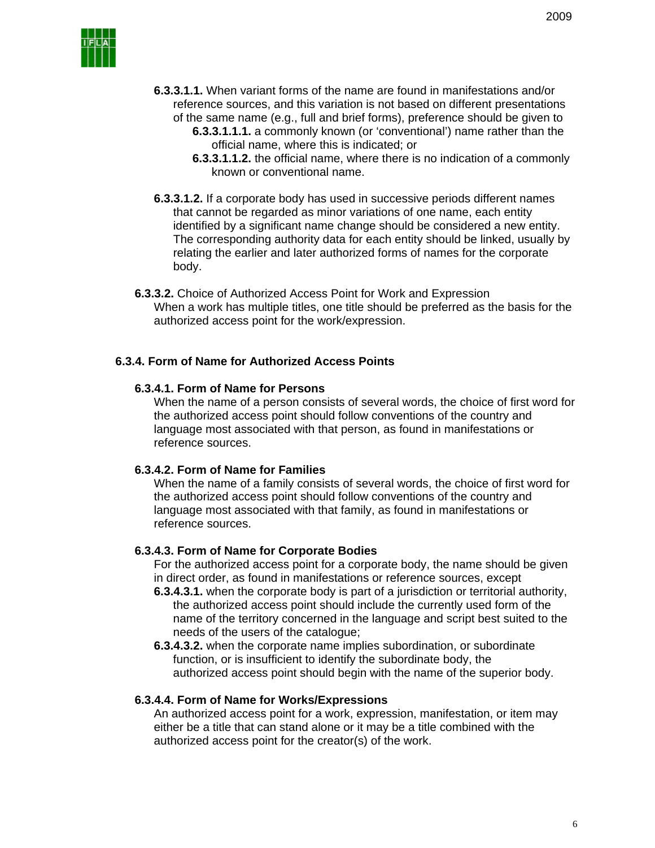

- **6.3.3.1.1.** When variant forms of the name are found in manifestations and/or reference sources, and this variation is not based on different presentations of the same name (e.g., full and brief forms), preference should be given to
	- **6.3.3.1.1.1.** a commonly known (or 'conventional') name rather than the official name, where this is indicated; or
	- **6.3.3.1.1.2.** the official name, where there is no indication of a commonly known or conventional name.
- **6.3.3.1.2.** If a corporate body has used in successive periods different names that cannot be regarded as minor variations of one name, each entity identified by a significant name change should be considered a new entity. The corresponding authority data for each entity should be linked, usually by relating the earlier and later authorized forms of names for the corporate body.
- authorized access point for the work/expression. **6.3.3.2.** Choice of Authorized Access Point for Work and Expression When a work has multiple titles, one title should be preferred as the basis for the

#### **6.3.4. Form of Name for Authorized Access Points**

### **6.3.4.1. Form of Name for Persons**

When the name of a person consists of several words, the choice of first word for the authorized access point should follow conventions of the country and language most associated with that person, as found in manifestations or reference sources.

#### **6.3.4.2. Form of Name for Families**

When the name of a family consists of several words, the choice of first word for the authorized access point should follow conventions of the country and language most associated with that family, as found in manifestations or reference sources.

#### **6.3.4.3. Form of Name for Corporate Bodies**

For the authorized access point for a corporate body, the name should be given in direct order, as found in manifestations or reference sources, except

- **6.3.4.3.1.** when the corporate body is part of a jurisdiction or territorial authority, the authorized access point should include the currently used form of the name of the territory concerned in the language and script best suited to the needs of the users of the catalogue;
- **6.3.4.3.2.** when the corporate name implies subordination, or subordinate function, or is insufficient to identify the subordinate body, the authorized access point should begin with the name of the superior body.

#### **6.3.4.4. Form of Name for Works/Expressions**

An authorized access point for a work, expression, manifestation, or item may either be a title that can stand alone or it may be a title combined with the authorized access point for the creator(s) of the work.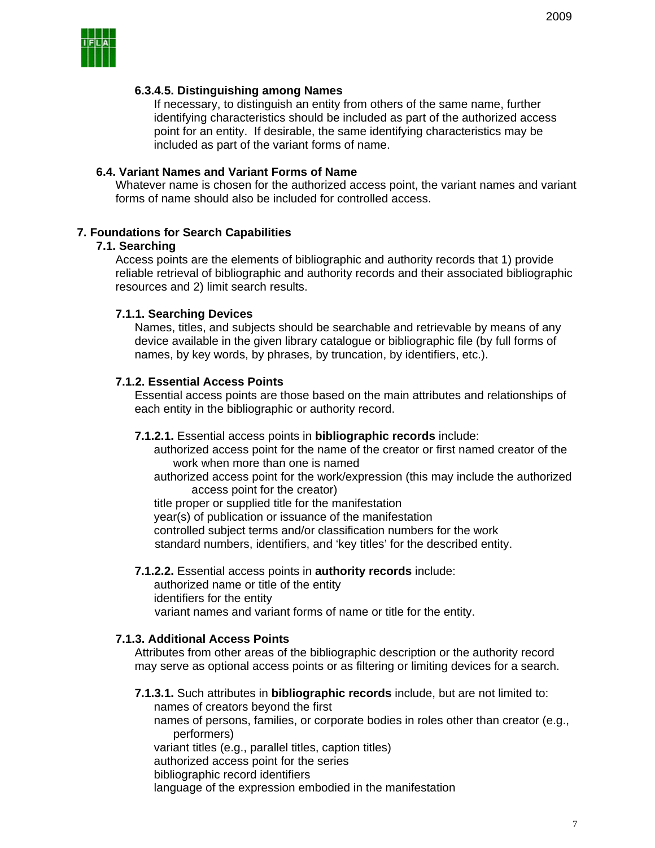

### **6.3.4.5. Distinguishing among Names**

If necessary, to distinguish an entity from others of the same name, further identifying characteristics should be included as part of the authorized access point for an entity. If desirable, the same identifying characteristics may be included as part of the variant forms of name.

### **6.4. Variant Names and Variant Forms of Name**

Whatever name is chosen for the authorized access point, the variant names and variant forms of name should also be included for controlled access.

### **7. Foundations for Search Capabilities**

#### **7.1. Searching**

Access points are the elements of bibliographic and authority records that 1) provide reliable retrieval of bibliographic and authority records and their associated bibliographic resources and 2) limit search results.

#### **7.1.1. Searching Devices**

Names, titles, and subjects should be searchable and retrievable by means of any device available in the given library catalogue or bibliographic file (by full forms of names, by key words, by phrases, by truncation, by identifiers, etc.).

### **7.1.2. Essential Access Points**

Essential access points are those based on the main attributes and relationships of each entity in the bibliographic or authority record.

#### **7.1.2.1.** Essential access points in **bibliographic records** include:

authorized access point for the name of the creator or first named creator of the work when more than one is named

authorized access point for the work/expression (this may include the authorized access point for the creator)

title proper or supplied title for the manifestation year(s) of publication or issuance of the manifestation controlled subject terms and/or classification numbers for the work standard numbers, identifiers, and 'key titles' for the described entity.

# **7.1.2.2.** Essential access points in **authority records** include:

authorized name or title of the entity

identifiers for the entity

variant names and variant forms of name or title for the entity.

### **7.1.3. Additional Access Points**

Attributes from other areas of the bibliographic description or the authority record may serve as optional access points or as filtering or limiting devices for a search.

**7.1.3.1.** Such attributes in **bibliographic records** include, but are not limited to: names of creators beyond the first names of persons, families, or corporate bodies in roles other than creator (e.g., performers) variant titles (e.g., parallel titles, caption titles) authorized access point for the series bibliographic record identifiers language of the expression embodied in the manifestation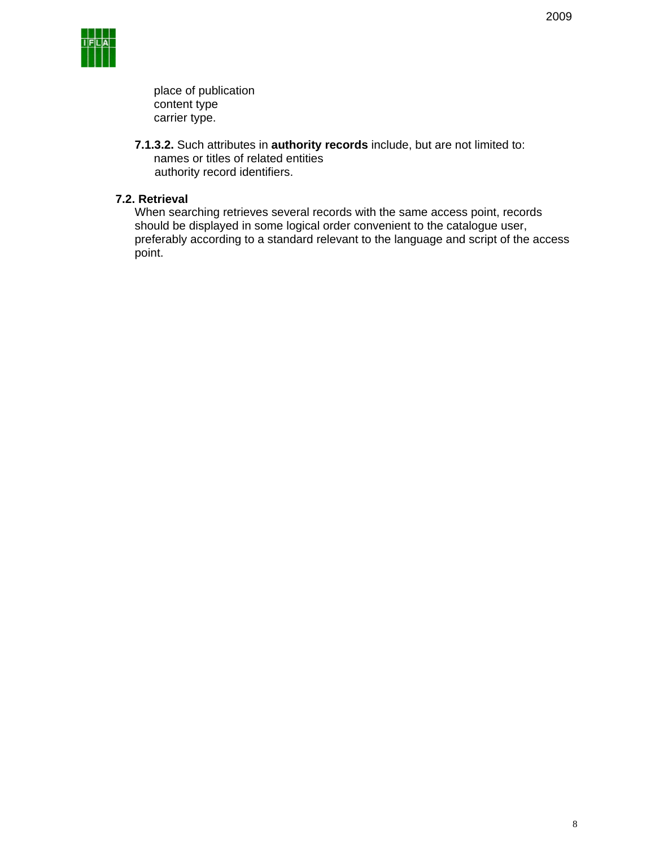

place of publication content type carrier type.

**7.1.3.2.** Such attributes in **authority records** include, but are not limited to: names or titles of related entities authority record identifiers.

### **7.2. Retrieval**

When searching retrieves several records with the same access point, records should be displayed in some logical order convenient to the catalogue user, preferably according to a standard relevant to the language and script of the access point.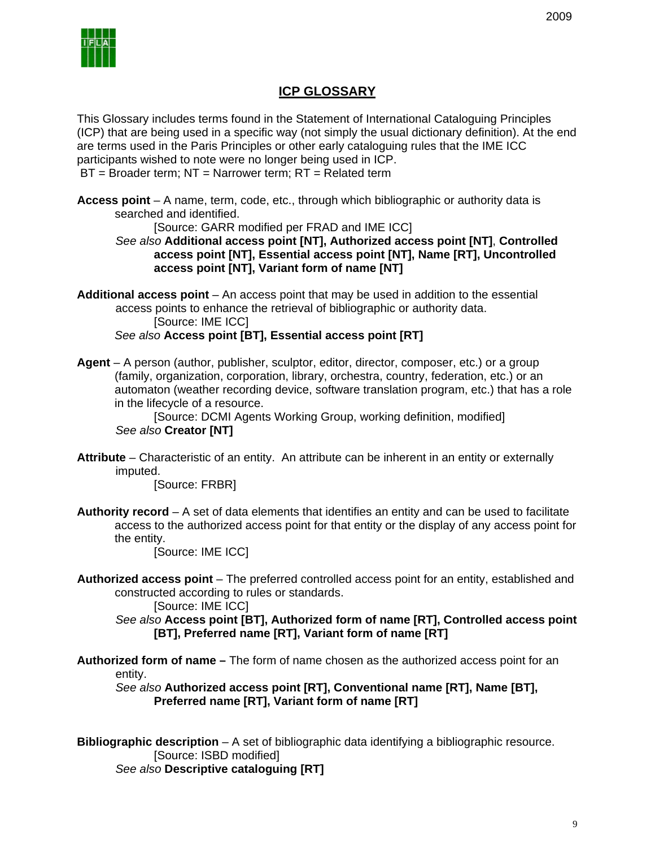

# **ICP GLOSSARY**

This Glossary includes terms found in the Statement of International Cataloguing Principles (ICP) that are being used in a specific way (not simply the usual dictionary definition). At the end are terms used in the Paris Principles or other early cataloguing rules that the IME ICC participants wished to note were no longer being used in ICP. BT = Broader term; NT = Narrower term; RT = Related term

**Access point** – A name, term, code, etc., through which bibliographic or authority data is searched and identified.

[Source: GARR modified per FRAD and IME ICC]

*See also* **Additional access point [NT], Authorized access point [NT]**, **Controlled access point [NT], Essential access point [NT], Name [RT], Uncontrolled access point [NT], Variant form of name [NT]**

Additional access point – An access point that may be used in addition to the essential access points to enhance the retrieval of bibliographic or authority data. [Source: IME ICC] *See also* **Access point [BT], Essential access point [RT]**

**Agent** – A person (author, publisher, sculptor, editor, director, composer, etc.) or a group (family, organization, corporation, library, orchestra, country, federation, etc.) or an automaton (weather recording device, software translation program, etc.) that has a role in the lifecycle of a resource.

[Source: DCMI Agents Working Group, working definition, modified] *See also* **Creator [NT]**

**Attribute** – Characteristic of an entity. An attribute can be inherent in an entity or externally imputed.

[Source: FRBR]

**Authority record** – A set of data elements that identifies an entity and can be used to facilitate access to the authorized access point for that entity or the display of any access point for the entity.

[Source: IME ICC]

**Authorized access point** – The preferred controlled access point for an entity, established and constructed according to rules or standards.

[Source: IME ICC]

*See also* **Access point [BT], Authorized form of name [RT], Controlled access point [BT], Preferred name [RT], Variant form of name [RT]**

**Authorized form of name –** The form of name chosen as the authorized access point for an entity.

*See also* **Authorized access point [RT], Conventional name [RT], Name [BT], Preferred name [RT], Variant form of name [RT]**

**Bibliographic description** – A set of bibliographic data identifying a bibliographic resource. [Source: ISBD modified] *See also* **Descriptive cataloguing [RT]**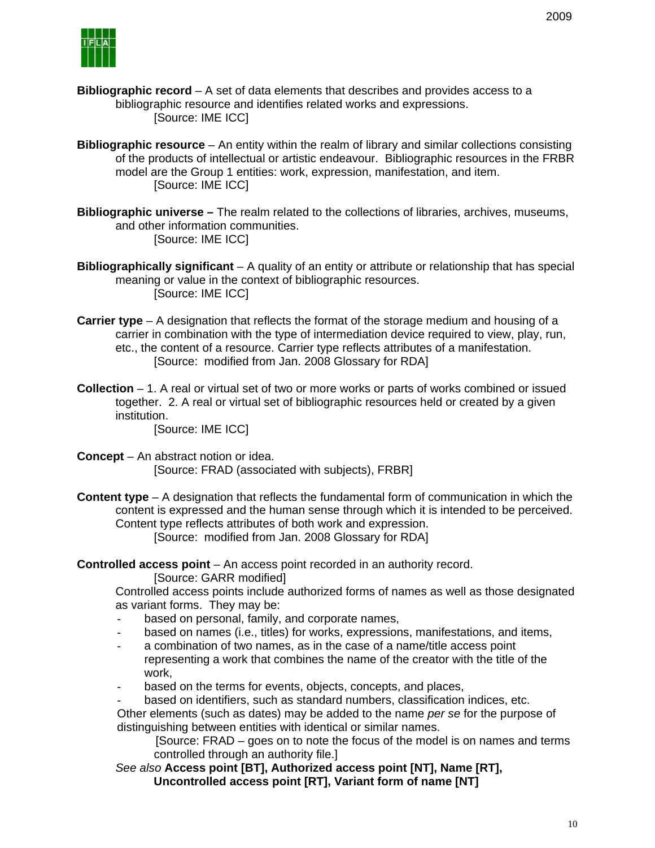- **Bibliographic record** A set of data elements that describes and provides access to a bibliographic resource and identifies related works and expressions. [Source: IME ICC]
- **Bibliographic resource** An entity within the realm of library and similar collections consisting of the products of intellectual or artistic endeavour. Bibliographic resources in the FRBR model are the Group 1 entities: work, expression, manifestation, and item. [Source: IME ICC]
- **Bibliographic universe –** The realm related to the collections of libraries, archives, museums, and other information communities. [Source: IME ICC]
- **Bibliographically significant** A quality of an entity or attribute or relationship that has special meaning or value in the context of bibliographic resources. [Source: IME ICC]
- **Carrier type** A designation that reflects the format of the storage medium and housing of a carrier in combination with the type of intermediation device required to view, play, run, etc., the content of a resource. Carrier type reflects attributes of a manifestation. [Source: modified from Jan. 2008 Glossary for RDA]
- **Collection** 1. A real or virtual set of two or more works or parts of works combined or issued together. 2. A real or virtual set of bibliographic resources held or created by a given institution.

[Source: IME ICC]

- **Concept** An abstract notion or idea. [Source: FRAD (associated with subjects), FRBR]
- **Content type** A designation that reflects the fundamental form of communication in which the content is expressed and the human sense through which it is intended to be perceived. Content type reflects attributes of both work and expression. [Source: modified from Jan. 2008 Glossary for RDA]

**Controlled access point** – An access point recorded in an authority record.

[Source: GARR modified]

Controlled access points include authorized forms of names as well as those designated as variant forms. They may be:

- based on personal, family, and corporate names,
- based on names (i.e., titles) for works, expressions, manifestations, and items,
- a combination of two names, as in the case of a name/title access point representing a work that combines the name of the creator with the title of the work,
- based on the terms for events, objects, concepts, and places,
- based on identifiers, such as standard numbers, classification indices, etc.

Other elements (such as dates) may be added to the name *per se* for the purpose of distinguishing between entities with identical or similar names.

[Source: FRAD – goes on to note the focus of the model is on names and terms controlled through an authority file.]

*See also* **Access point [BT], Authorized access point [NT], Name [RT], Uncontrolled access point [RT], Variant form of name [NT]**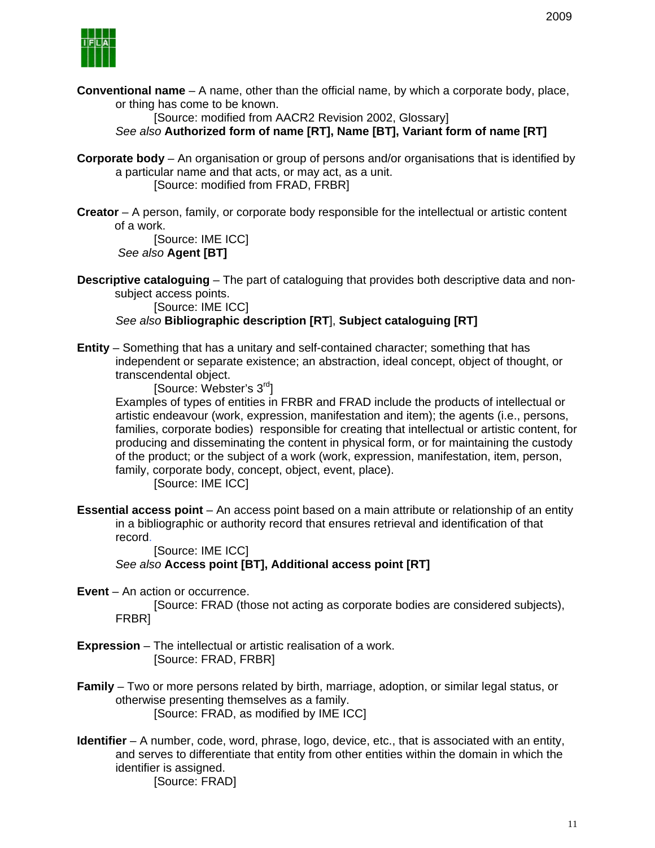

**Conventional name** – A name, other than the official name, by which a corporate body, place, or thing has come to be known.

[Source: modified from AACR2 Revision 2002, Glossary] *See also* **Authorized form of name [RT], Name [BT], Variant form of name [RT]** 

**Corporate body** – An organisation or group of persons and/or organisations that is identified by a particular name and that acts, or may act, as a unit.

[Source: modified from FRAD, FRBR]

**Creator** – A person, family, or corporate body responsible for the intellectual or artistic content of a work.

[Source: IME ICC]  *See also* **Agent [BT]**

**Descriptive cataloguing** – The part of cataloguing that provides both descriptive data and nonsubject access points.

[Source: IME ICC]

*See also* **Bibliographic description [RT**], **Subject cataloguing [RT]**

**Entity** – Something that has a unitary and self-contained character; something that has independent or separate existence; an abstraction, ideal concept, object of thought, or transcendental object.

[Source: Webster's 3<sup>rd</sup>]

Examples of types of entities in FRBR and FRAD include the products of intellectual or artistic endeavour (work, expression, manifestation and item); the agents (i.e., persons, families, corporate bodies) responsible for creating that intellectual or artistic content, for producing and disseminating the content in physical form, or for maintaining the custody of the product; or the subject of a work (work, expression, manifestation, item, person, family, corporate body, concept, object, event, place).

[Source: IME ICC]

**Essential access point** – An access point based on a main attribute or relationship of an entity in a bibliographic or authority record that ensures retrieval and identification of that record.

[Source: IME ICC]

*See also* **Access point [BT], Additional access point [RT]** 

**Event** – An action or occurrence.

[Source: FRAD (those not acting as corporate bodies are considered subjects), FRBR]

- **Expression** The intellectual or artistic realisation of a work. [Source: FRAD, FRBR]
- **Family** Two or more persons related by birth, marriage, adoption, or similar legal status, or otherwise presenting themselves as a family. [Source: FRAD, as modified by IME ICC]
- **Identifier** A number, code, word, phrase, logo, device, etc., that is associated with an entity, and serves to differentiate that entity from other entities within the domain in which the identifier is assigned. [Source: FRAD]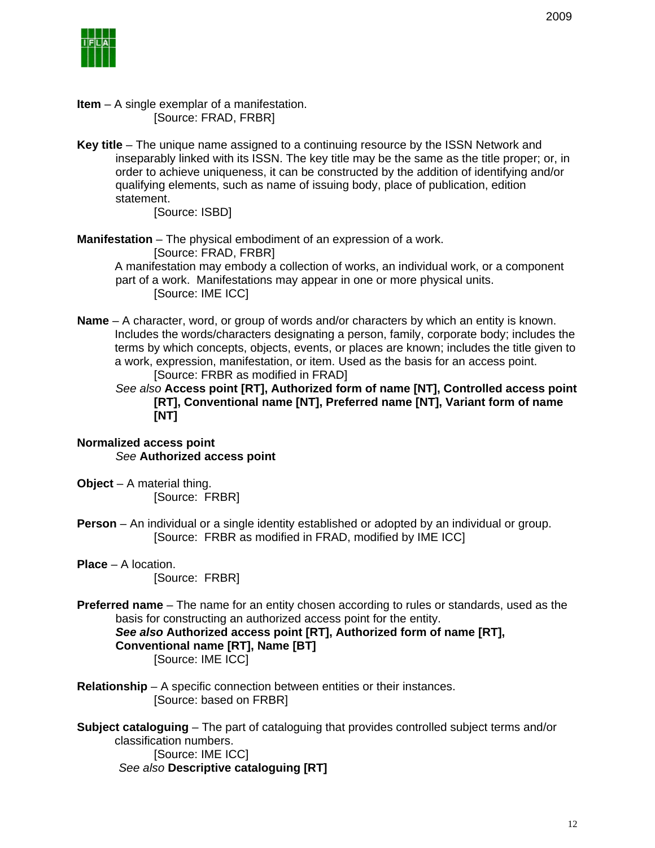- **Item** A single exemplar of a manifestation. [Source: FRAD, FRBR]
- **Key title** The unique name assigned to a continuing resource by the ISSN Network and inseparably linked with its ISSN. The key title may be the same as the title proper; or, in order to achieve uniqueness, it can be constructed by the addition of identifying and/or qualifying elements, such as name of issuing body, place of publication, edition statement.

[Source: ISBD]

**Manifestation** – The physical embodiment of an expression of a work.

[Source: FRAD, FRBR]

A manifestation may embody a collection of works, an individual work, or a component part of a work. Manifestations may appear in one or more physical units. [Source: IME ICC]

**Name** – A character, word, or group of words and/or characters by which an entity is known. Includes the words/characters designating a person, family, corporate body; includes the terms by which concepts, objects, events, or places are known; includes the title given to a work, expression, manifestation, or item. Used as the basis for an access point. [Source: FRBR as modified in FRAD]

*See also* **Access point [RT], Authorized form of name [NT], Controlled access point [RT], Conventional name [NT], Preferred name [NT], Variant form of name [NT]**

### **Normalized access point**  *See* **Authorized access point**

- **Object** A material thing. [Source: FRBR]
- **Person** An individual or a single identity established or adopted by an individual or group. [Source: FRBR as modified in FRAD, modified by IME ICC]
- **Place** A location. [Source: FRBR]
- **Preferred name** The name for an entity chosen according to rules or standards, used as the basis for constructing an authorized access point for the entity. *See also* **Authorized access point [RT], Authorized form of name [RT],**

**Conventional name [RT], Name [BT]**

[Source: IME ICC]

**Relationship** – A specific connection between entities or their instances. [Source: based on FRBR]

**Subject cataloguing** – The part of cataloguing that provides controlled subject terms and/or classification numbers. [Source: IME ICC]  *See also* **Descriptive cataloguing [RT]**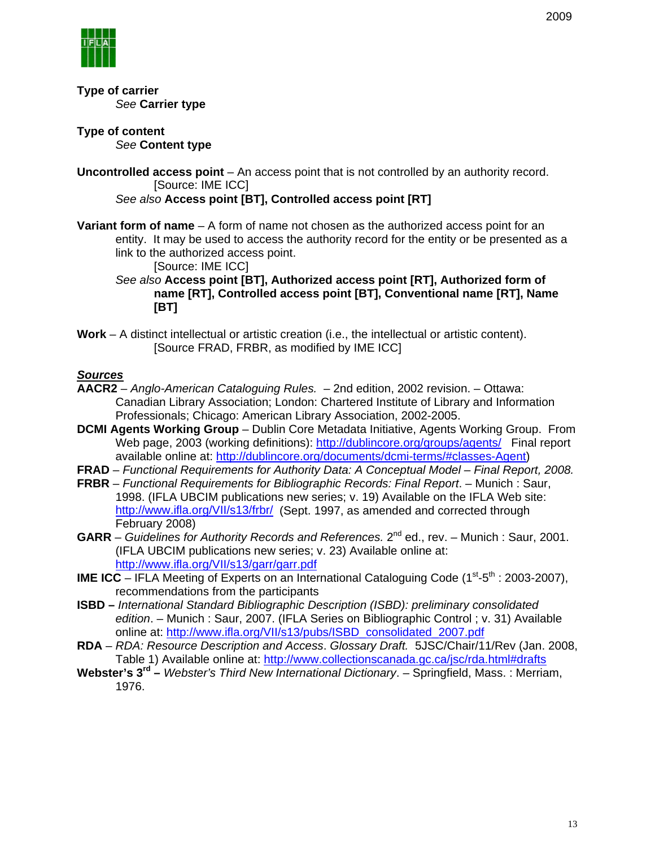

**Type of carrier** *See* **Carrier type**

**Type of content**  *See* **Content type**

**Uncontrolled access point** – An access point that is not controlled by an authority record. [Source: IME ICC]

*See also* **Access point [BT], Controlled access point [RT]**

**Variant form of name** – A form of name not chosen as the authorized access point for an entity. It may be used to access the authority record for the entity or be presented as a link to the authorized access point.

[Source: IME ICC]

*See also* **Access point [BT], Authorized access point [RT], Authorized form of name [RT], Controlled access point [BT], Conventional name [RT], Name [BT]**

**Work** – A distinct intellectual or artistic creation (i.e., the intellectual or artistic content). [Source FRAD, FRBR, as modified by IME ICC]

### *Sources*

- **AACR2** *Anglo-American Cataloguing Rules.* 2nd edition, 2002 revision. Ottawa: Canadian Library Association; London: Chartered Institute of Library and Information Professionals; Chicago: American Library Association, 2002-2005.
- **DCMI Agents Working Group** Dublin Core Metadata Initiative, Agents Working Group. From Web page, 2003 (working definitions): http://dublincore.org/groups/agents/ Final report available online at: http://dublincore.org/documents/dcmi-terms/#classes-Agent)
- **FRAD** *Functional Requirements for Authority Data: A Conceptual Model Final Report, 2008.*
- **FRBR** *Functional Requirements for Bibliographic Records: Final Report*. Munich : Saur, 1998. (IFLA UBCIM publications new series; v. 19) Available on the IFLA Web site: http://www.ifla.org/VII/s13/frbr/ (Sept. 1997, as amended and corrected through February 2008)
- **GARR** *Guidelines for Authority Records and References.* 2<sup>nd</sup> ed., rev. Munich : Saur, 2001. (IFLA UBCIM publications new series; v. 23) Available online at: http://www.ifla.org/VII/s13/garr/garr.pdf
- **IME ICC** IFLA Meeting of Experts on an International Cataloguing Code  $(1<sup>st</sup>-5<sup>th</sup> : 2003-2007)$ , recommendations from the participants
- **ISBD** *International Standard Bibliographic Description (ISBD): preliminary consolidated edition*. – Munich : Saur, 2007. (IFLA Series on Bibliographic Control ; v. 31) Available online at: http://www.ifla.org/VII/s13/pubs/ISBD\_consolidated\_2007.pdf
- **RDA**  *RDA: Resource Description and Access*. *Glossary Draft.* 5JSC/Chair/11/Rev (Jan. 2008, Table 1) Available online at: http://www.collectionscanada.gc.ca/jsc/rda.html#drafts
- **Webster's 3rd –** *Webster's Third New International Dictionary*. Springfield, Mass. : Merriam, 1976.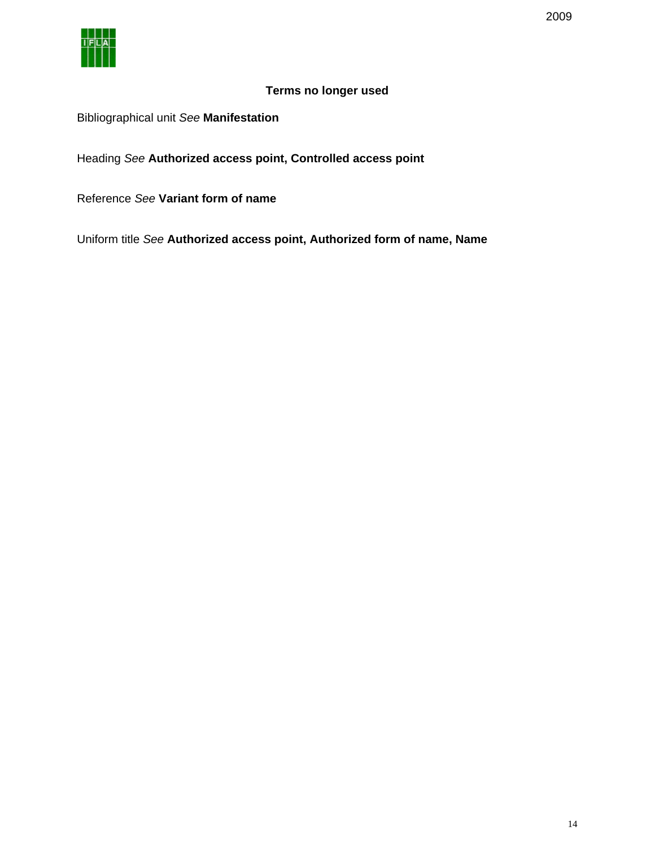

# **Terms no longer used**

# Bibliographical unit *See* **Manifestation**

Heading *See* **Authorized access point, Controlled access point** 

Reference *See* **Variant form of name** 

Uniform title *See* **Authorized access point, Authorized form of name, Name**